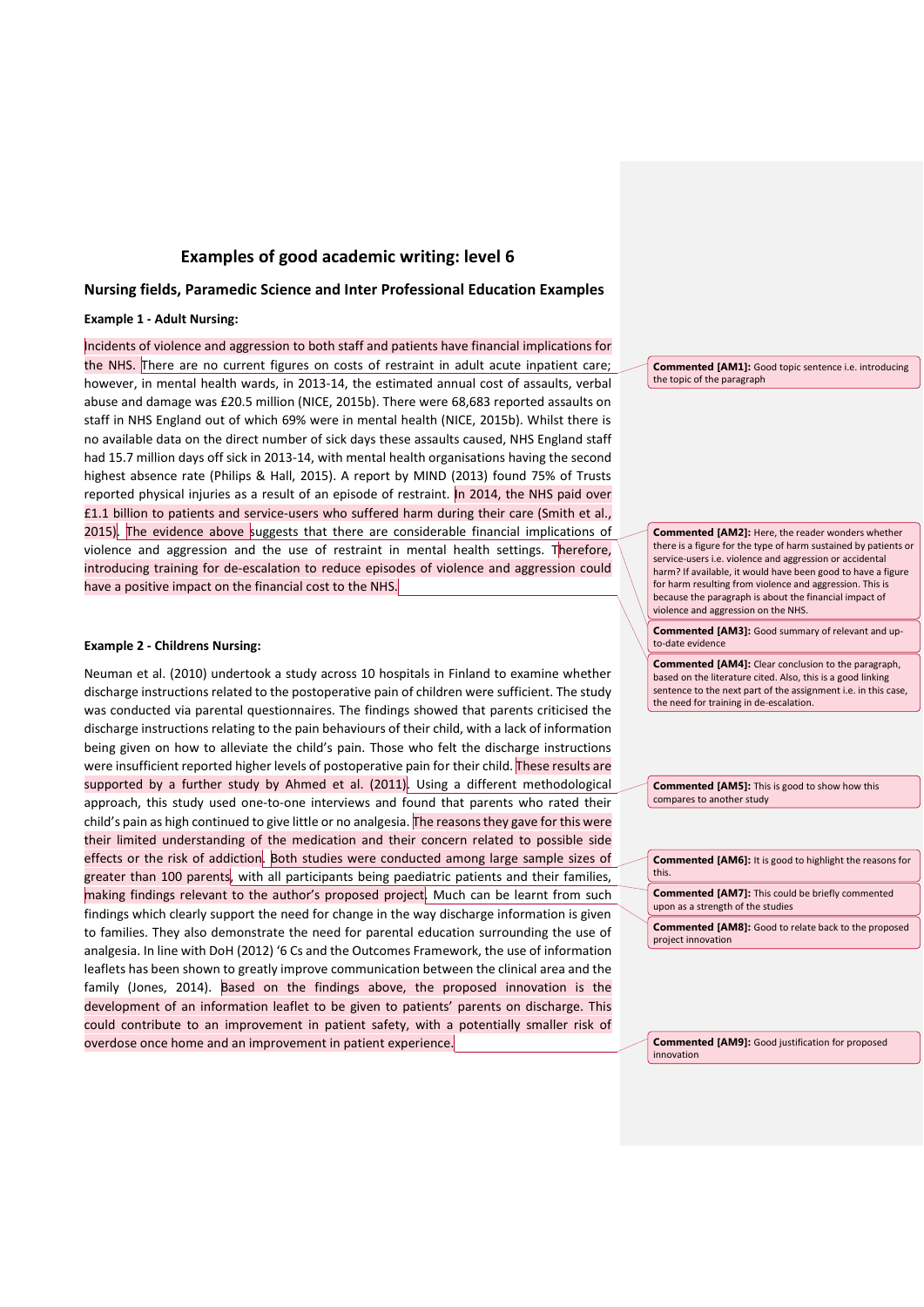# **Examples of good academic writing: level 6**

## **Nursing fields, Paramedic Science and Inter Professional Education Examples**

## **Example 1 - Adult Nursing:**

Incidents of violence and aggression to both staff and patients have financial implications for the NHS. There are no current figures on costs of restraint in adult acute inpatient care; however, in mental health wards, in 2013-14, the estimated annual cost of assaults, verbal abuse and damage was £20.5 million (NICE, 2015b). There were 68,683 reported assaults on staff in NHS England out of which 69% were in mental health (NICE, 2015b). Whilst there is no available data on the direct number of sick days these assaults caused, NHS England staff had 15.7 million days off sick in 2013-14, with mental health organisations having the second highest absence rate (Philips & Hall, 2015). A report by MIND (2013) found 75% of Trusts reported physical injuries as a result of an episode of restraint. In 2014, the NHS paid over £1.1 billion to patients and service-users who suffered harm during their care (Smith et al., 2015). The evidence above suggests that there are considerable financial implications of violence and aggression and the use of restraint in mental health settings. Therefore, introducing training for de-escalation to reduce episodes of violence and aggression could have a positive impact on the financial cost to the NHS.

#### **Example 2 - Childrens Nursing:**

Neuman et al. (2010) undertook a study across 10 hospitals in Finland to examine whether discharge instructions related to the postoperative pain of children were sufficient. The study was conducted via parental questionnaires. The findings showed that parents criticised the discharge instructions relating to the pain behaviours of their child, with a lack of information being given on how to alleviate the child's pain. Those who felt the discharge instructions were insufficient reported higher levels of postoperative pain for their child. These results are supported by a further study by Ahmed et al. (2011). Using a different methodological approach, this study used one-to-one interviews and found that parents who rated their child's pain as high continued to give little or no analgesia. The reasons they gave for this were their limited understanding of the medication and their concern related to possible side effects or the risk of addiction. Both studies were conducted among large sample sizes of greater than 100 parents, with all participants being paediatric patients and their families, making findings relevant to the author's proposed project. Much can be learnt from such findings which clearly support the need for change in the way discharge information is given to families. They also demonstrate the need for parental education surrounding the use of analgesia. In line with DoH (2012) '6 Cs and the Outcomes Framework, the use of information leaflets has been shown to greatly improve communication between the clinical area and the family (Jones, 2014). Based on the findings above, the proposed innovation is the development of an information leaflet to be given to patients' parents on discharge. This could contribute to an improvement in patient safety, with a potentially smaller risk of overdose once home and an improvement in patient experience.

**Commented [AM1]:** Good topic sentence i.e. introducing the topic of the paragraph

**Commented [AM2]:** Here, the reader wonders whether there is a figure for the type of harm sustained by patients or service-users i.e. violence and aggression or accidental harm? If available, it would have been good to have a figure for harm resulting from violence and aggression. This is because the paragraph is about the financial impact of violence and aggression on the NHS.

**Commented [AM3]:** Good summary of relevant and upto-date evidenc

**Commented [AM4]:** Clear conclusion to the paragraph, based on the literature cited. Also, this is a good linking sentence to the next part of the assignment i.e. in this case, the need for training in de-escalation.

**Commented [AM5]:** This is good to show how this compares to another study

| <b>Commented [AM6]:</b> It is good to highlight the reasons for<br>this.                     |
|----------------------------------------------------------------------------------------------|
| <b>Commented [AM7]:</b> This could be briefly commented<br>upon as a strength of the studies |
| <b>Commented [AM8]:</b> Good to relate back to the proposed<br>project innovation            |

**Commented [AM9]:** Good justification for proposed innovation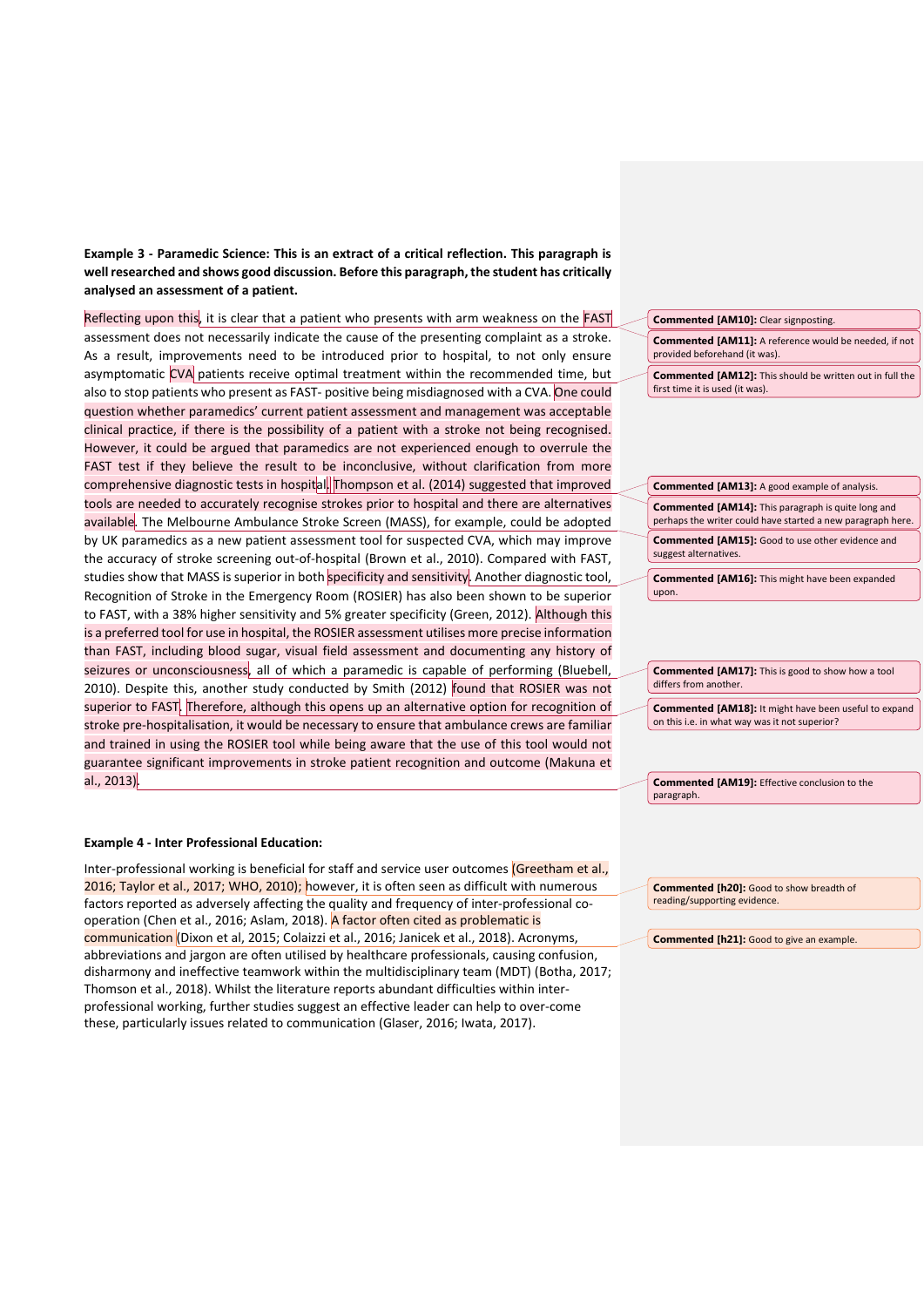**Example 3 - Paramedic Science: This is an extract of a critical reflection. This paragraph is well researched and shows good discussion. Before this paragraph, the student has critically analysed an assessment of a patient.** 

Reflecting upon this, it is clear that a patient who presents with arm weakness on the FAST assessment does not necessarily indicate the cause of the presenting complaint as a stroke. As a result, improvements need to be introduced prior to hospital, to not only ensure asymptomatic CVA patients receive optimal treatment within the recommended time, but also to stop patients who present as FAST- positive being misdiagnosed with a CVA. One could question whether paramedics' current patient assessment and management was acceptable clinical practice, if there is the possibility of a patient with a stroke not being recognised. However, it could be argued that paramedics are not experienced enough to overrule the FAST test if they believe the result to be inconclusive, without clarification from more comprehensive diagnostic tests in hospital. Thompson et al. (2014) suggested that improved tools are needed to accurately recognise strokes prior to hospital and there are alternatives available. The Melbourne Ambulance Stroke Screen (MASS), for example, could be adopted by UK paramedics as a new patient assessment tool for suspected CVA, which may improve the accuracy of stroke screening out-of-hospital (Brown et al., 2010). Compared with FAST, studies show that MASS is superior in both specificity and sensitivity. Another diagnostic tool, Recognition of Stroke in the Emergency Room (ROSIER) has also been shown to be superior to FAST, with a 38% higher sensitivity and 5% greater specificity (Green, 2012). Although this is a preferred tool for use in hospital, the ROSIER assessment utilises more precise information than FAST, including blood sugar, visual field assessment and documenting any history of seizures or unconsciousness, all of which a paramedic is capable of performing (Bluebell, 2010). Despite this, another study conducted by Smith (2012) found that ROSIER was not superior to FAST. Therefore, although this opens up an alternative option for recognition of stroke pre-hospitalisation, it would be necessary to ensure that ambulance crews are familiar and trained in using the ROSIER tool while being aware that the use of this tool would not guarantee significant improvements in stroke patient recognition and outcome (Makuna et al., 2013).

#### **Example 4 - Inter Professional Education:**

Inter-professional working is beneficial for staff and service user outcomes (Greetham et al., 2016; Taylor et al., 2017; WHO, 2010); however, it is often seen as difficult with numerous factors reported as adversely affecting the quality and frequency of inter-professional cooperation (Chen et al., 2016; Aslam, 2018). A factor often cited as problematic is communication (Dixon et al, 2015; Colaizzi et al., 2016; Janicek et al., 2018). Acronyms, abbreviations and jargon are often utilised by healthcare professionals, causing confusion, disharmony and ineffective teamwork within the multidisciplinary team (MDT) (Botha, 2017; Thomson et al., 2018). Whilst the literature reports abundant difficulties within interprofessional working, further studies suggest an effective leader can help to over-come these, particularly issues related to communication (Glaser, 2016; Iwata, 2017).

**Commented [AM10]:** Clear signposting.

**Commented [AM11]:** A reference would be needed, if not provided beforehand (it was).

**Commented [AM12]:** This should be written out in full the first time it is used (it was).

**Commented [AM13]:** A good example of analysis. **Commented [AM14]:** This paragraph is quite long and perhaps the writer could have started a new paragraph here. **Commented [AM15]:** Good to use other evidence and suggest alternatives.

**Commented [AM16]:** This might have been expanded upon.

**Commented [AM17]:** This is good to show how a tool differs from another.

**Commented [AM18]:** It might have been useful to expand on this i.e. in what way was it not superior?

**Commented [AM19]:** Effective conclusion to the paragraph.

**Commented [h20]:** Good to show breadth of reading/supporting evidence.

**Commented [h21]:** Good to give an example.